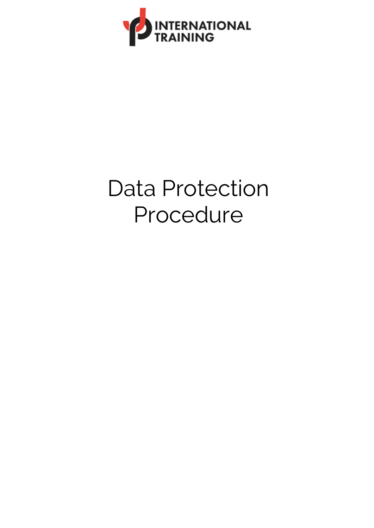

# Data Protection Procedure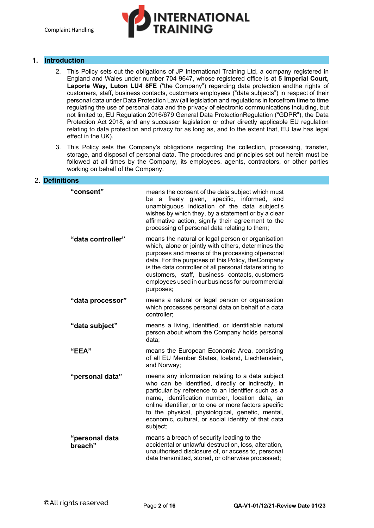# NTERNATIONA<mark>L</mark><br>RAINING

# **1. Introduction**

- 2. This Policy sets out the obligations of JP International Training Ltd, a company registered in England and Wales under number 704 9647, whose registered office is at **5 Imperial Court, Laporte Way, Luton LU4 8FE** ("the Company") regarding data protection andthe rights of customers, staff, business contacts, customers employees ("data subjects") in respect of their personal data under Data Protection Law (all legislation and regulations in forcefrom time to time regulating the use of personal data and the privacy of electronic communications including, but not limited to, EU Regulation 2016/679 General Data ProtectionRegulation ("GDPR"), the Data Protection Act 2018, and any successor legislation or other directly applicable EU regulation relating to data protection and privacy for as long as, and to the extent that, EU law has legal effect in the UK).
- 3. This Policy sets the Company's obligations regarding the collection, processing, transfer, storage, and disposal of personal data. The procedures and principles set out herein must be followed at all times by the Company, its employees, agents, contractors, or other parties working on behalf of the Company.

# 2. **Definitions**

| "consent"                 | means the consent of the data subject which must<br>a freely given, specific, informed, and<br>be l<br>unambiguous indication of the data subject's<br>wishes by which they, by a statement or by a clear<br>affirmative action, signify their agreement to the<br>processing of personal data relating to them;                                                                               |
|---------------------------|------------------------------------------------------------------------------------------------------------------------------------------------------------------------------------------------------------------------------------------------------------------------------------------------------------------------------------------------------------------------------------------------|
| "data controller"         | means the natural or legal person or organisation<br>which, alone or jointly with others, determines the<br>purposes and means of the processing ofpersonal<br>data. For the purposes of this Policy, the Company<br>is the data controller of all personal datarelating to<br>customers, staff, business contacts, customers<br>employees used in our business for ourcommercial<br>purposes; |
| "data processor"          | means a natural or legal person or organisation<br>which processes personal data on behalf of a data<br>controller;                                                                                                                                                                                                                                                                            |
| "data subject"            | means a living, identified, or identifiable natural<br>person about whom the Company holds personal<br>data;                                                                                                                                                                                                                                                                                   |
| "EEA"                     | means the European Economic Area, consisting<br>of all EU Member States, Iceland, Liechtenstein,<br>and Norway;                                                                                                                                                                                                                                                                                |
| "personal data"           | means any information relating to a data subject<br>who can be identified, directly or indirectly, in<br>particular by reference to an identifier such as a<br>name, identification number, location data, an<br>online identifier, or to one or more factors specific<br>to the physical, physiological, genetic, mental,<br>economic, cultural, or social identity of that data<br>subject;  |
| "personal data<br>breach" | means a breach of security leading to the<br>accidental or unlawful destruction, loss, alteration,<br>unauthorised disclosure of, or access to, personal<br>data transmitted, stored, or otherwise processed;                                                                                                                                                                                  |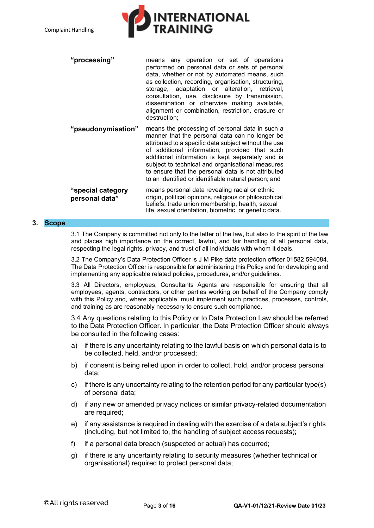

| "processing"       | means any operation or set of operations<br>performed on personal data or sets of personal<br>data, whether or not by automated means, such<br>as collection, recording, organisation, structuring,<br>storage, adaptation or alteration, retrieval,<br>consultation, use, disclosure by transmission,<br>dissemination or otherwise making available,<br>alignment or combination, restriction, erasure or<br>destruction; |
|--------------------|-----------------------------------------------------------------------------------------------------------------------------------------------------------------------------------------------------------------------------------------------------------------------------------------------------------------------------------------------------------------------------------------------------------------------------|
| "pseudonymisation" | means the processing of personal data in such a                                                                                                                                                                                                                                                                                                                                                                             |

| pseudonymisation" | means the processing of personal data in such a<br>manner that the personal data can no longer be<br>attributed to a specific data subject without the use<br>of additional information, provided that such<br>additional information is kept separately and is<br>subject to technical and organisational measures<br>to ensure that the personal data is not attributed<br>to an identified or identifiable natural person; and |
|-------------------|-----------------------------------------------------------------------------------------------------------------------------------------------------------------------------------------------------------------------------------------------------------------------------------------------------------------------------------------------------------------------------------------------------------------------------------|
| concial ostanomi  | means nersonal data revealing racial or ethnic                                                                                                                                                                                                                                                                                                                                                                                    |

**"special category personal data"** means personal data revealing racial or ethnic origin, political opinions, religious or philosophical beliefs, trade union membership, health, sexual life, sexual orientation, biometric, or genetic data.

# **3. Scope**

3.1 The Company is committed not only to the letter of the law, but also to the spirit of the law and places high importance on the correct, lawful, and fair handling of all personal data, respecting the legal rights, privacy, and trust of all individuals with whom it deals.

3.2 The Company's Data Protection Officer is J M Pike data protection officer 01582 594084. The Data Protection Officer is responsible for administering this Policy and for developing and implementing any applicable related policies, procedures, and/or guidelines.

3.3 All Directors, employees, Consultants Agents are responsible for ensuring that all employees, agents, contractors, or other parties working on behalf of the Company comply with this Policy and, where applicable, must implement such practices, processes, controls, and training as are reasonably necessary to ensure such compliance.

3.4 Any questions relating to this Policy or to Data Protection Law should be referred to the Data Protection Officer. In particular, the Data Protection Officer should always be consulted in the following cases:

- a) if there is any uncertainty relating to the lawful basis on which personal data is to be collected, held, and/or processed;
- b) if consent is being relied upon in order to collect, hold, and/or process personal data;
- c) if there is any uncertainty relating to the retention period for any particular type(s) of personal data;
- d) if any new or amended privacy notices or similar privacy-related documentation are required;
- e) if any assistance is required in dealing with the exercise of a data subject's rights (including, but not limited to, the handling of subject access requests);
- f) if a personal data breach (suspected or actual) has occurred;
- g) if there is any uncertainty relating to security measures (whether technical or organisational) required to protect personal data;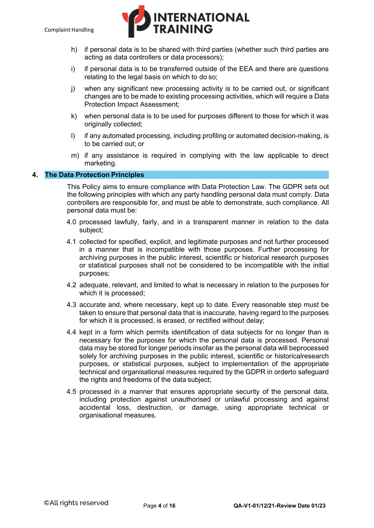

- h) if personal data is to be shared with third parties (whether such third parties are acting as data controllers or data processors);
- i) if personal data is to be transferred outside of the EEA and there are questions relating to the legal basis on which to do so;
- j) when any significant new processing activity is to be carried out, or significant changes are to be made to existing processing activities, which will require a Data Protection Impact Assessment;
- k) when personal data is to be used for purposes different to those for which it was originally collected;
- l) if any automated processing, including profiling or automated decision-making, is to be carried out; or
- m) if any assistance is required in complying with the law applicable to direct marketing.

# **4. The Data Protection Principles**

This Policy aims to ensure compliance with Data Protection Law. The GDPR sets out the following principles with which any party handling personal data must comply. Data controllers are responsible for, and must be able to demonstrate, such compliance. All personal data must be:

- 4.0 processed lawfully, fairly, and in a transparent manner in relation to the data subject;
- 4.1 collected for specified, explicit, and legitimate purposes and not further processed in a manner that is incompatible with those purposes. Further processing for archiving purposes in the public interest, scientific or historical research purposes or statistical purposes shall not be considered to be incompatible with the initial purposes;
- 4.2 adequate, relevant, and limited to what is necessary in relation to the purposes for which it is processed;
- 4.3 accurate and, where necessary, kept up to date. Every reasonable step must be taken to ensure that personal data that is inaccurate, having regard to the purposes for which it is processed, is erased, or rectified without delay;
- 4.4 kept in a form which permits identification of data subjects for no longer than is necessary for the purposes for which the personal data is processed. Personal data may be stored for longer periods insofar as the personal data will beprocessed solely for archiving purposes in the public interest, scientific or historicalresearch purposes, or statistical purposes, subject to implementation of the appropriate technical and organisational measures required by the GDPR in orderto safeguard the rights and freedoms of the data subject;
- 4.5 processed in a manner that ensures appropriate security of the personal data, including protection against unauthorised or unlawful processing and against accidental loss, destruction, or damage, using appropriate technical or organisational measures.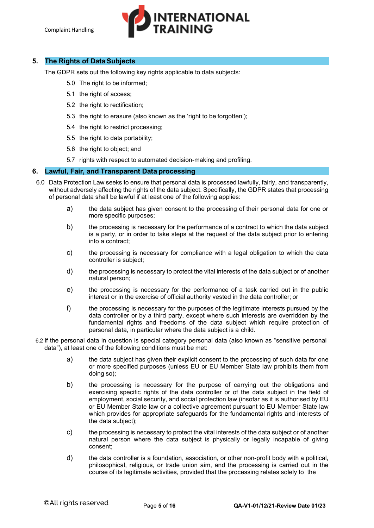

# **5. The Rights of Data Subjects**

The GDPR sets out the following key rights applicable to data subjects:

- 5.0 The right to be informed;
- 5.1 the right of access;
- 5.2 the right to rectification:
- 5.3 the right to erasure (also known as the 'right to be forgotten');
- 5.4 the right to restrict processing;
- 5.5 the right to data portability;
- 5.6 the right to object; and
- 5.7 rights with respect to automated decision-making and profiling.

# **6. Lawful, Fair, and Transparent Data processing**

- 6.0 Data Protection Law seeks to ensure that personal data is processed lawfully, fairly, and transparently, without adversely affecting the rights of the data subject. Specifically, the GDPR states that processing of personal data shall be lawful if at least one of the following applies:
	- a) the data subject has given consent to the processing of their personal data for one or more specific purposes;
	- b) the processing is necessary for the performance of a contract to which the data subject is a party, or in order to take steps at the request of the data subject prior to entering into a contract;
	- c) the processing is necessary for compliance with a legal obligation to which the data controller is subject;
	- d) the processing is necessary to protect the vital interests of the data subject or of another natural person;
	- e) the processing is necessary for the performance of a task carried out in the public interest or in the exercise of official authority vested in the data controller; or
	- f) the processing is necessary for the purposes of the legitimate interests pursued by the data controller or by a third party, except where such interests are overridden by the fundamental rights and freedoms of the data subject which require protection of personal data, in particular where the data subject is a child.
- 6.2 If the personal data in question is special category personal data (also known as "sensitive personal data"), at least one of the following conditions must be met:
	- a) the data subject has given their explicit consent to the processing of such data for one or more specified purposes (unless EU or EU Member State law prohibits them from doing so);
	- b) the processing is necessary for the purpose of carrying out the obligations and exercising specific rights of the data controller or of the data subject in the field of employment, social security, and social protection law (insofar as it is authorised by EU or EU Member State law or a collective agreement pursuant to EU Member State law which provides for appropriate safeguards for the fundamental rights and interests of the data subject);
	- c) the processing is necessary to protect the vital interests of the data subject or of another natural person where the data subject is physically or legally incapable of giving consent;
	- d) the data controller is a foundation, association, or other non-profit body with a political, philosophical, religious, or trade union aim, and the processing is carried out in the course of its legitimate activities, provided that the processing relates solely to the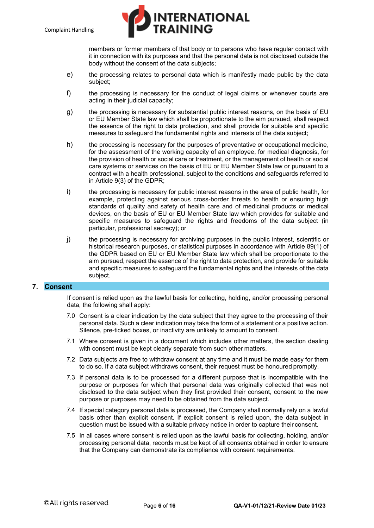

members or former members of that body or to persons who have regular contact with it in connection with its purposes and that the personal data is not disclosed outside the body without the consent of the data subjects;

- e) the processing relates to personal data which is manifestly made public by the data subject;
- f) the processing is necessary for the conduct of legal claims or whenever courts are acting in their judicial capacity;
- g) the processing is necessary for substantial public interest reasons, on the basis of EU or EU Member State law which shall be proportionate to the aim pursued, shall respect the essence of the right to data protection, and shall provide for suitable and specific measures to safeguard the fundamental rights and interests of the data subject;
- h) the processing is necessary for the purposes of preventative or occupational medicine, for the assessment of the working capacity of an employee, for medical diagnosis, for the provision of health or social care or treatment, or the management of health or social care systems or services on the basis of EU or EU Member State law or pursuant to a contract with a health professional, subject to the conditions and safeguards referred to in Article 9(3) of the GDPR;
- i) the processing is necessary for public interest reasons in the area of public health, for example, protecting against serious cross-border threats to health or ensuring high standards of quality and safety of health care and of medicinal products or medical devices, on the basis of EU or EU Member State law which provides for suitable and specific measures to safeguard the rights and freedoms of the data subject (in particular, professional secrecy); or
- j) the processing is necessary for archiving purposes in the public interest, scientific or historical research purposes, or statistical purposes in accordance with Article 89(1) of the GDPR based on EU or EU Member State law which shall be proportionate to the aim pursued, respect the essence of the right to data protection, and provide for suitable and specific measures to safeguard the fundamental rights and the interests of the data subject.

## **7. Consent**

If consent is relied upon as the lawful basis for collecting, holding, and/or processing personal data, the following shall apply:

- 7.0 Consent is a clear indication by the data subject that they agree to the processing of their personal data. Such a clear indication may take the form of a statement or a positive action. Silence, pre-ticked boxes, or inactivity are unlikely to amount to consent.
- 7.1 Where consent is given in a document which includes other matters, the section dealing with consent must be kept clearly separate from such other matters.
- 7.2 Data subjects are free to withdraw consent at any time and it must be made easy for them to do so. If a data subject withdraws consent, their request must be honoured promptly.
- 7.3 If personal data is to be processed for a different purpose that is incompatible with the purpose or purposes for which that personal data was originally collected that was not disclosed to the data subject when they first provided their consent, consent to the new purpose or purposes may need to be obtained from the data subject.
- 7.4 If special category personal data is processed, the Company shall normally rely on a lawful basis other than explicit consent. If explicit consent is relied upon, the data subject in question must be issued with a suitable privacy notice in order to capture their consent.
- 7.5 In all cases where consent is relied upon as the lawful basis for collecting, holding, and/or processing personal data, records must be kept of all consents obtained in order to ensure that the Company can demonstrate its compliance with consent requirements.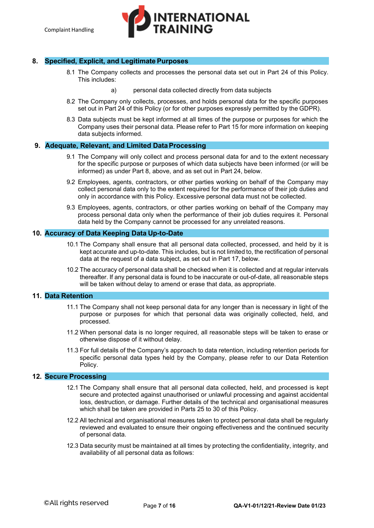**INTERNATIONAL** 

# **8. Specified, Explicit, and Legitimate Purposes**

- 8.1 The Company collects and processes the personal data set out in Part 24 of this Policy. This includes:
	- a) personal data collected directly from data subjects
- 8.2 The Company only collects, processes, and holds personal data for the specific purposes set out in Part 24 of this Policy (or for other purposes expressly permitted by the GDPR).
- 8.3 Data subjects must be kept informed at all times of the purpose or purposes for which the Company uses their personal data. Please refer to Part 15 for more information on keeping data subjects informed.

## **9. Adequate, Relevant, and Limited DataProcessing**

- 9.1 The Company will only collect and process personal data for and to the extent necessary for the specific purpose or purposes of which data subjects have been informed (or will be informed) as under Part 8, above, and as set out in Part 24, below.
- 9.2 Employees, agents, contractors, or other parties working on behalf of the Company may collect personal data only to the extent required for the performance of their job duties and only in accordance with this Policy. Excessive personal data must not be collected.
- 9.3 Employees, agents, contractors, or other parties working on behalf of the Company may process personal data only when the performance of their job duties requires it. Personal data held by the Company cannot be processed for any unrelated reasons.

## **10. Accuracy of Data Keeping Data Up-to-Date**

- 10.1 The Company shall ensure that all personal data collected, processed, and held by it is kept accurate and up-to-date. This includes, but is not limited to, the rectification of personal data at the request of a data subject, as set out in Part 17, below.
- 10.2 The accuracy of personal data shall be checked when it is collected and at regular intervals thereafter. If any personal data is found to be inaccurate or out-of-date, all reasonable steps will be taken without delay to amend or erase that data, as appropriate.

# **11. Data Retention**

- 11.1 The Company shall not keep personal data for any longer than is necessary in light of the purpose or purposes for which that personal data was originally collected, held, and processed.
- 11.2 When personal data is no longer required, all reasonable steps will be taken to erase or otherwise dispose of it without delay.
- 11.3 For full details of the Company's approach to data retention, including retention periods for specific personal data types held by the Company, please refer to our Data Retention Policy.

# **12. Secure Processing**

- 12.1 The Company shall ensure that all personal data collected, held, and processed is kept secure and protected against unauthorised or unlawful processing and against accidental loss, destruction, or damage. Further details of the technical and organisational measures which shall be taken are provided in Parts 25 to 30 of this Policy.
- 12.2 All technical and organisational measures taken to protect personal data shall be regularly reviewed and evaluated to ensure their ongoing effectiveness and the continued security of personal data.
- 12.3 Data security must be maintained at all times by protecting the confidentiality, integrity, and availability of all personal data as follows: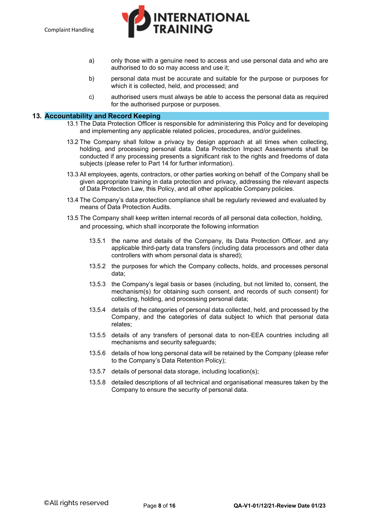

- a) only those with a genuine need to access and use personal data and who are authorised to do so may access and use it;
- b) personal data must be accurate and suitable for the purpose or purposes for which it is collected, held, and processed; and
- c) authorised users must always be able to access the personal data as required for the authorised purpose or purposes.

#### **13. Accountability and Record Keeping**

- 13.1 The Data Protection Officer is responsible for administering this Policy and for developing and implementing any applicable related policies, procedures, and/or guidelines.
- 13.2 The Company shall follow a privacy by design approach at all times when collecting, holding, and processing personal data. Data Protection Impact Assessments shall be conducted if any processing presents a significant risk to the rights and freedoms of data subjects (please refer to Part 14 for further information).
- 13.3 All employees, agents, contractors, or other parties working on behalf of the Company shall be given appropriate training in data protection and privacy, addressing the relevant aspects of Data Protection Law, this Policy, and all other applicable Company policies.
- 13.4 The Company's data protection compliance shall be regularly reviewed and evaluated by means of Data Protection Audits.
- 13.5 The Company shall keep written internal records of all personal data collection, holding, and processing, which shall incorporate the following information
	- 13.5.1 the name and details of the Company, its Data Protection Officer, and any applicable third-party data transfers (including data processors and other data controllers with whom personal data is shared);
	- 13.5.2 the purposes for which the Company collects, holds, and processes personal data;
	- 13.5.3 the Company's legal basis or bases (including, but not limited to, consent, the mechanism(s) for obtaining such consent, and records of such consent) for collecting, holding, and processing personal data;
	- 13.5.4 details of the categories of personal data collected, held, and processed by the Company, and the categories of data subject to which that personal data relates;
	- 13.5.5 details of any transfers of personal data to non-EEA countries including all mechanisms and security safeguards;
	- 13.5.6 details of how long personal data will be retained by the Company (please refer to the Company's Data Retention Policy);
	- 13.5.7 details of personal data storage, including location(s);
	- 13.5.8 detailed descriptions of all technical and organisational measures taken by the Company to ensure the security of personal data.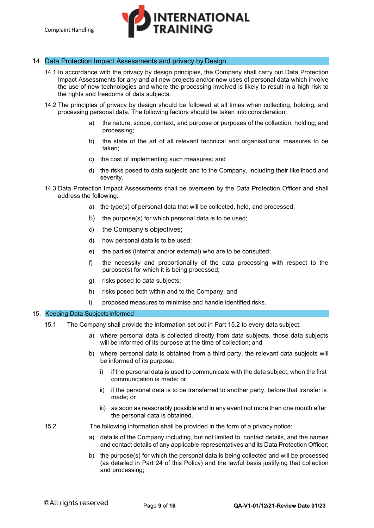# **INTERNATIONAL**

# 14. Data Protection Impact Assessments and privacy by Design

- 14.1 In accordance with the privacy by design principles, the Company shall carry out Data Protection Impact Assessments for any and all new projects and/or new uses of personal data which involve the use of new technologies and where the processing involved is likely to result in a high risk to the rights and freedoms of data subjects.
- 14.2 The principles of privacy by design should be followed at all times when collecting, holding, and processing personal data. The following factors should be taken into consideration:
	- a) the nature, scope, context, and purpose or purposes of the collection, holding, and processing;
	- b) the state of the art of all relevant technical and organisational measures to be taken;
	- c) the cost of implementing such measures; and
	- d) the risks posed to data subjects and to the Company, including their likelihood and severity.
- 14.3 Data Protection Impact Assessments shall be overseen by the Data Protection Officer and shall address the following:
	- a) the type(s) of personal data that will be collected, held, and processed;
	- b) the purpose(s) for which personal data is to be used;
	- c) the Company's objectives;
	- d) how personal data is to be used;
	- e) the parties (internal and/or external) who are to be consulted;
	- f) the necessity and proportionality of the data processing with respect to the purpose(s) for which it is being processed;
	- g) risks posed to data subjects;
	- h) risks posed both within and to the Company; and
	- i) proposed measures to minimise and handle identified risks.

## 15. Keeping Data Subjects Informed

- 15.1 The Company shall provide the information set out in Part 15.2 to every data subject:
	- a) where personal data is collected directly from data subjects, those data subjects will be informed of its purpose at the time of collection; and
	- b) where personal data is obtained from a third party, the relevant data subjects will be informed of its purpose:
		- i) if the personal data is used to communicate with the data subject, when the first communication is made; or
		- ii) if the personal data is to be transferred to another party, before that transfer is made; or
		- iii) as soon as reasonably possible and in any event not more than one month after the personal data is obtained.
- 15.2 The following information shall be provided in the form of a privacy notice:
	- a) details of the Company including, but not limited to, contact details, and the names and contact details of any applicable representatives and its Data Protection Officer;
	- b) the purpose(s) for which the personal data is being collected and will be processed (as detailed in Part 24 of this Policy) and the lawful basis justifying that collection and processing;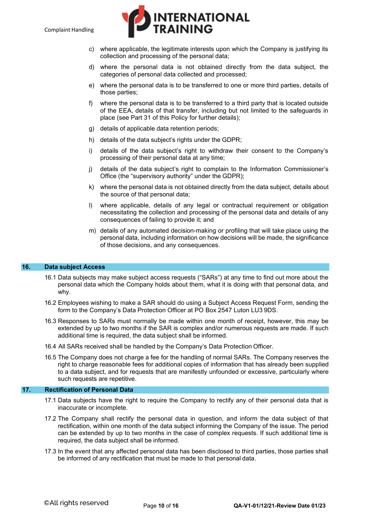

- c) where applicable, the legitimate interests upon which the Company is justifying its collection and processing of the personal data;
- d) where the personal data is not obtained directly from the data subject, the categories of personal data collected and processed;
- e) where the personal data is to be transferred to one or more third parties, details of those parties;
- f) where the personal data is to be transferred to a third party that is located outside of the EEA, details of that transfer, including but not limited to the safeguards in place (see Part 31 of this Policy for further details);
- g) details of applicable data retention periods;
- h) details of the data subject's rights under the GDPR;
- i) details of the data subject's right to withdraw their consent to the Company's processing of their personal data at any time;
- j) details of the data subject's right to complain to the Information Commissioner's Office (the "supervisory authority" under the GDPR);
- k) where the personal data is not obtained directly from the data subject, details about the source of that personal data;
- l) where applicable, details of any legal or contractual requirement or obligation necessitating the collection and processing of the personal data and details of any consequences of failing to provide it; and
- m) details of any automated decision-making or profiling that will take place using the personal data, including information on how decisions will be made, the significance of those decisions, and any consequences.

#### **16. Data subject Access**

- 16.1 Data subjects may make subject access requests ("SARs") at any time to find out more about the personal data which the Company holds about them, what it is doing with that personal data, and why.
- 16.2 Employees wishing to make a SAR should do using a Subject Access Request Form, sending the form to the Company's Data Protection Officer at PO Box 2547 Luton LU3 9DS.
- 16.3 Responses to SARs must normally be made within one month of receipt, however, this may be extended by up to two months if the SAR is complex and/or numerous requests are made. If such additional time is required, the data subject shall be informed.
- 16.4 All SARs received shall be handled by the Company's Data Protection Officer.
- 16.5 The Company does not charge a fee for the handling of normal SARs. The Company reserves the right to charge reasonable fees for additional copies of information that has already been supplied to a data subject, and for requests that are manifestly unfounded or excessive, particularly where such requests are repetitive.

#### **17. Rectification of Personal Data**

- 17.1 Data subjects have the right to require the Company to rectify any of their personal data that is inaccurate or incomplete.
- 17.2 The Company shall rectify the personal data in question, and inform the data subject of that rectification, within one month of the data subject informing the Company of the issue. The period can be extended by up to two months in the case of complex requests. If such additional time is required, the data subject shall be informed.
- 17.3 In the event that any affected personal data has been disclosed to third parties, those parties shall be informed of any rectification that must be made to that personal data.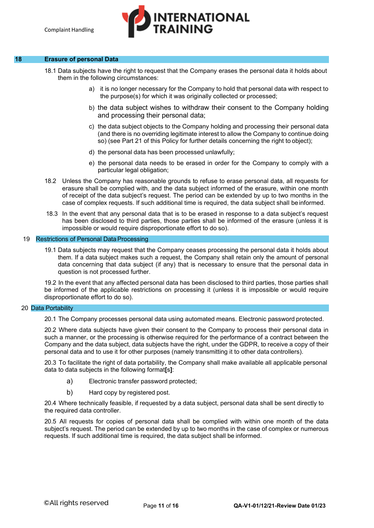#### **18 Erasure of personal Data**

- 18.1 Data subjects have the right to request that the Company erases the personal data it holds about them in the following circumstances:
	- a) it is no longer necessary for the Company to hold that personal data with respect to the purpose(s) for which it was originally collected or processed;

**INTERNATIONAL** 

- b) the data subject wishes to withdraw their consent to the Company holding and processing their personal data;
- c) the data subject objects to the Company holding and processing their personal data (and there is no overriding legitimate interest to allow the Company to continue doing so) (see Part 21 of this Policy for further details concerning the right to object);
- d) the personal data has been processed unlawfully;
- e) the personal data needs to be erased in order for the Company to comply with a particular legal obligation;
- 18.2 Unless the Company has reasonable grounds to refuse to erase personal data, all requests for erasure shall be complied with, and the data subject informed of the erasure, within one month of receipt of the data subject's request. The period can be extended by up to two months in the case of complex requests. If such additional time is required, the data subject shall be informed.
- 18.3 In the event that any personal data that is to be erased in response to a data subject's request has been disclosed to third parties, those parties shall be informed of the erasure (unless it is impossible or would require disproportionate effort to do so).

#### 19 Restrictions of Personal Data Processing

19.1 Data subjects may request that the Company ceases processing the personal data it holds about them. If a data subject makes such a request, the Company shall retain only the amount of personal data concerning that data subject (if any) that is necessary to ensure that the personal data in question is not processed further.

19.2 In the event that any affected personal data has been disclosed to third parties, those parties shall be informed of the applicable restrictions on processing it (unless it is impossible or would require disproportionate effort to do so).

#### 20 Data Portability

20.1 The Company processes personal data using automated means. Electronic password protected.

20.2 Where data subjects have given their consent to the Company to process their personal data in such a manner, or the processing is otherwise required for the performance of a contract between the Company and the data subject, data subjects have the right, under the GDPR, to receive a copy of their personal data and to use it for other purposes (namely transmitting it to other data controllers).

20.3 To facilitate the right of data portability, the Company shall make available all applicable personal data to data subjects in the following format**[**s**]**:

- a) Electronic transfer password protected;
- b) Hard copy by registered post.

20.4 Where technically feasible, if requested by a data subject, personal data shall be sent directly to the required data controller.

20.5 All requests for copies of personal data shall be complied with within one month of the data subject's request. The period can be extended by up to two months in the case of complex or numerous requests. If such additional time is required, the data subject shall be informed.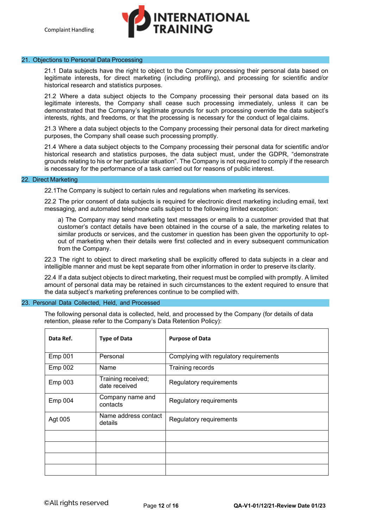# **NTERNATIONAL**

#### 21. Objections to Personal Data Processing

21.1 Data subjects have the right to object to the Company processing their personal data based on legitimate interests, for direct marketing (including profiling), and processing for scientific and/or historical research and statistics purposes.

21.2 Where a data subject objects to the Company processing their personal data based on its legitimate interests, the Company shall cease such processing immediately, unless it can be demonstrated that the Company's legitimate grounds for such processing override the data subject's interests, rights, and freedoms, or that the processing is necessary for the conduct of legal claims.

21.3 Where a data subject objects to the Company processing their personal data for direct marketing purposes, the Company shall cease such processing promptly.

21.4 Where a data subject objects to the Company processing their personal data for scientific and/or historical research and statistics purposes, the data subject must, under the GDPR, "demonstrate grounds relating to his or her particular situation". The Company is not required to comply if the research is necessary for the performance of a task carried out for reasons of public interest.

#### 22. Direct Marketing

22.1The Company is subject to certain rules and regulations when marketing its services.

22.2 The prior consent of data subjects is required for electronic direct marketing including email, text messaging, and automated telephone calls subject to the following limited exception:

a) The Company may send marketing text messages or emails to a customer provided that that customer's contact details have been obtained in the course of a sale, the marketing relates to similar products or services, and the customer in question has been given the opportunity to optout of marketing when their details were first collected and in every subsequent communication from the Company.

22.3 The right to object to direct marketing shall be explicitly offered to data subjects in a clear and intelligible manner and must be kept separate from other information in order to preserve its clarity.

22.4 If a data subject objects to direct marketing, their request must be complied with promptly. A limited amount of personal data may be retained in such circumstances to the extent required to ensure that the data subject's marketing preferences continue to be complied with.

#### 23. Personal Data Collected, Held, and Processed

The following personal data is collected, held, and processed by the Company (for details of data retention, please refer to the Company's Data Retention Policy):

| Data Ref. | <b>Type of Data</b>                 | <b>Purpose of Data</b>                 |
|-----------|-------------------------------------|----------------------------------------|
| Emp 001   | Personal                            | Complying with regulatory requirements |
| Emp 002   | Name                                | Training records                       |
| Emp 003   | Training received;<br>date received | Regulatory requirements                |
| Emp 004   | Company name and<br>contacts        | Regulatory requirements                |
| Agt 005   | Name address contact<br>details     | Regulatory requirements                |
|           |                                     |                                        |
|           |                                     |                                        |
|           |                                     |                                        |
|           |                                     |                                        |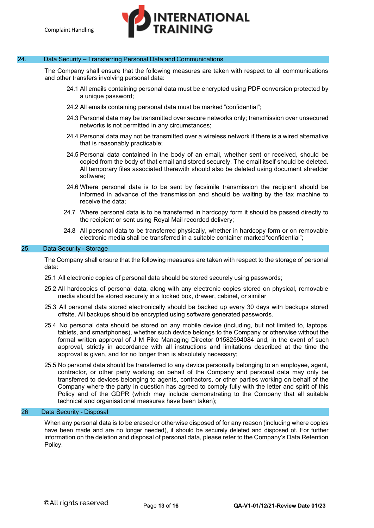# **INTERNATIONAL**

# 24. Data Security – Transferring Personal Data and Communications

The Company shall ensure that the following measures are taken with respect to all communications and other transfers involving personal data:

- 24.1 All emails containing personal data must be encrypted using PDF conversion protected by a unique password;
- 24.2 All emails containing personal data must be marked "confidential";
- 24.3 Personal data may be transmitted over secure networks only; transmission over unsecured networks is not permitted in any circumstances;
- 24.4 Personal data may not be transmitted over a wireless network if there is a wired alternative that is reasonably practicable;
- 24.5 Personal data contained in the body of an email, whether sent or received, should be copied from the body of that email and stored securely. The email itself should be deleted. All temporary files associated therewith should also be deleted using document shredder software;
- 24.6 Where personal data is to be sent by facsimile transmission the recipient should be informed in advance of the transmission and should be waiting by the fax machine to receive the data;
- 24.7 Where personal data is to be transferred in hardcopy form it should be passed directly to the recipient or sent using Royal Mail recorded delivery;
- 24.8 All personal data to be transferred physically, whether in hardcopy form or on removable electronic media shall be transferred in a suitable container marked "confidential";

#### 25. Data Security - Storage

The Company shall ensure that the following measures are taken with respect to the storage of personal data:

- 25.1 All electronic copies of personal data should be stored securely using passwords;
- 25.2 All hardcopies of personal data, along with any electronic copies stored on physical, removable media should be stored securely in a locked box, drawer, cabinet, or similar
- 25.3 All personal data stored electronically should be backed up every 30 days with backups stored offsite. All backups should be encrypted using software generated passwords.
- 25.4 No personal data should be stored on any mobile device (including, but not limited to, laptops, tablets, and smartphones), whether such device belongs to the Company or otherwise without the formal written approval of J M Pike Managing Director 01582594084 and, in the event of such approval, strictly in accordance with all instructions and limitations described at the time the approval is given, and for no longer than is absolutely necessary;
- 25.5 No personal data should be transferred to any device personally belonging to an employee, agent, contractor, or other party working on behalf of the Company and personal data may only be transferred to devices belonging to agents, contractors, or other parties working on behalf of the Company where the party in question has agreed to comply fully with the letter and spirit of this Policy and of the GDPR (which may include demonstrating to the Company that all suitable technical and organisational measures have been taken);

# 26 Data Security - Disposal

When any personal data is to be erased or otherwise disposed of for any reason (including where copies have been made and are no longer needed), it should be securely deleted and disposed of. For further information on the deletion and disposal of personal data, please refer to the Company's Data Retention Policy.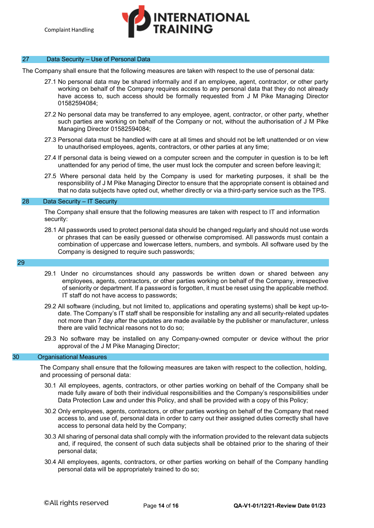# I<mark>NTERNATIONAL</mark><br>FRAINING

# 27 Data Security – Use of Personal Data

The Company shall ensure that the following measures are taken with respect to the use of personal data:

- 27.1 No personal data may be shared informally and if an employee, agent, contractor, or other party working on behalf of the Company requires access to any personal data that they do not already have access to, such access should be formally requested from J M Pike Managing Director 01582594084;
- 27.2 No personal data may be transferred to any employee, agent, contractor, or other party, whether such parties are working on behalf of the Company or not, without the authorisation of J M Pike Managing Director 01582594084;
- 27.3 Personal data must be handled with care at all times and should not be left unattended or on view to unauthorised employees, agents, contractors, or other parties at any time;
- 27.4 If personal data is being viewed on a computer screen and the computer in question is to be left unattended for any period of time, the user must lock the computer and screen before leaving it;
- 27.5 Where personal data held by the Company is used for marketing purposes, it shall be the responsibility of J M Pike Managing Director to ensure that the appropriate consent is obtained and that no data subjects have opted out, whether directly or via a third-party service such as the TPS.

#### 28 Data Security – IT Security

The Company shall ensure that the following measures are taken with respect to IT and information security:

28.1 All passwords used to protect personal data should be changed regularly and should not use words or phrases that can be easily guessed or otherwise compromised. All passwords must contain a combination of uppercase and lowercase letters, numbers, and symbols. All software used by the Company is designed to require such passwords;

#### 29

- 29.1 Under no circumstances should any passwords be written down or shared between any employees, agents, contractors, or other parties working on behalf of the Company, irrespective of seniority or department. If a password is forgotten, it must be reset using the applicable method. IT staff do not have access to passwords;
- 29.2 All software (including, but not limited to, applications and operating systems) shall be kept up-todate. The Company's IT staff shall be responsible for installing any and all security-related updates not more than 7 day after the updates are made available by the publisher or manufacturer, unless there are valid technical reasons not to do so;
- 29.3 No software may be installed on any Company-owned computer or device without the prior approval of the J M Pike Managing Director;

#### 30 Organisational Measures

The Company shall ensure that the following measures are taken with respect to the collection, holding, and processing of personal data:

- 30.1 All employees, agents, contractors, or other parties working on behalf of the Company shall be made fully aware of both their individual responsibilities and the Company's responsibilities under Data Protection Law and under this Policy, and shall be provided with a copy of this Policy;
- 30.2 Only employees, agents, contractors, or other parties working on behalf of the Company that need access to, and use of, personal data in order to carry out their assigned duties correctly shall have access to personal data held by the Company;
- 30.3 All sharing of personal data shall comply with the information provided to the relevant data subjects and, if required, the consent of such data subjects shall be obtained prior to the sharing of their personal data;
- 30.4 All employees, agents, contractors, or other parties working on behalf of the Company handling personal data will be appropriately trained to do so;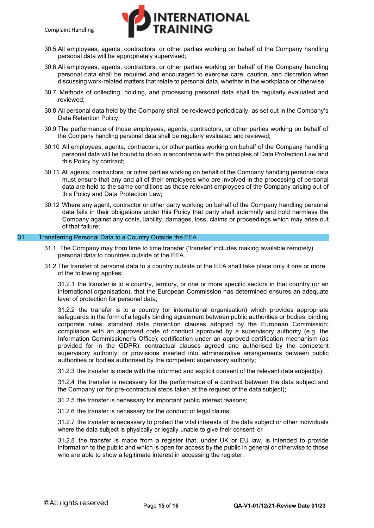

- 30.5 All employees, agents, contractors, or other parties working on behalf of the Company handling personal data will be appropriately supervised;
- 30.6 All employees, agents, contractors, or other parties working on behalf of the Company handling personal data shall be required and encouraged to exercise care, caution, and discretion when discussing work-related matters that relate to personal data, whether in the workplace or otherwise;
- 30.7 Methods of collecting, holding, and processing personal data shall be regularly evaluated and reviewed;
- 30.8 All personal data held by the Company shall be reviewed periodically, as set out in the Company's Data Retention Policy;
- 30.9 The performance of those employees, agents, contractors, or other parties working on behalf of the Company handling personal data shall be regularly evaluated and reviewed;
- 30.10 All employees, agents, contractors, or other parties working on behalf of the Company handling personal data will be bound to do so in accordance with the principles of Data Protection Law and this Policy by contract;
- 30.11 All agents, contractors, or other parties working on behalf of the Company handling personal data must ensure that any and all of their employees who are involved in the processing of personal data are held to the same conditions as those relevant employees of the Company arising out of this Policy and Data Protection Law;
- 30.12 Where any agent, contractor or other party working on behalf of the Company handling personal data fails in their obligations under this Policy that party shall indemnify and hold harmless the Company against any costs, liability, damages, loss, claims or proceedings which may arise out of that failure;

# 31 Transferring Personal Data to a Country Outside the EEA

- 31.1 The Company may from time to time transfer ('transfer' includes making available remotely) personal data to countries outside of the EEA.
- 31.2 The transfer of personal data to a country outside of the EEA shall take place only if one or more of the following applies:

31.2.1 the transfer is to a country, territory, or one or more specific sectors in that country (or an international organisation), that the European Commission has determined ensures an adequate level of protection for personal data;

31.2.2 the transfer is to a country (or international organisation) which provides appropriate safeguards in the form of a legally binding agreement between public authorities or bodies; binding corporate rules; standard data protection clauses adopted by the European Commission; compliance with an approved code of conduct approved by a supervisory authority (e.g. the Information Commissioner's Office); certification under an approved certification mechanism (as provided for in the GDPR); contractual clauses agreed and authorised by the competent supervisory authority; or provisions inserted into administrative arrangements between public authorities or bodies authorised by the competent supervisory authority;

31.2.3 the transfer is made with the informed and explicit consent of the relevant data subject(s);

31.2.4 the transfer is necessary for the performance of a contract between the data subject and the Company (or for pre-contractual steps taken at the request of the data subject);

31.2.5 the transfer is necessary for important public interest reasons;

31.2.6 the transfer is necessary for the conduct of legal claims;

31.2.7 the transfer is necessary to protect the vital interests of the data subject or other individuals where the data subject is physically or legally unable to give their consent; or

31.2.8 the transfer is made from a register that, under UK or EU law, is intended to provide information to the public and which is open for access by the public in general or otherwise to those who are able to show a legitimate interest in accessing the register.